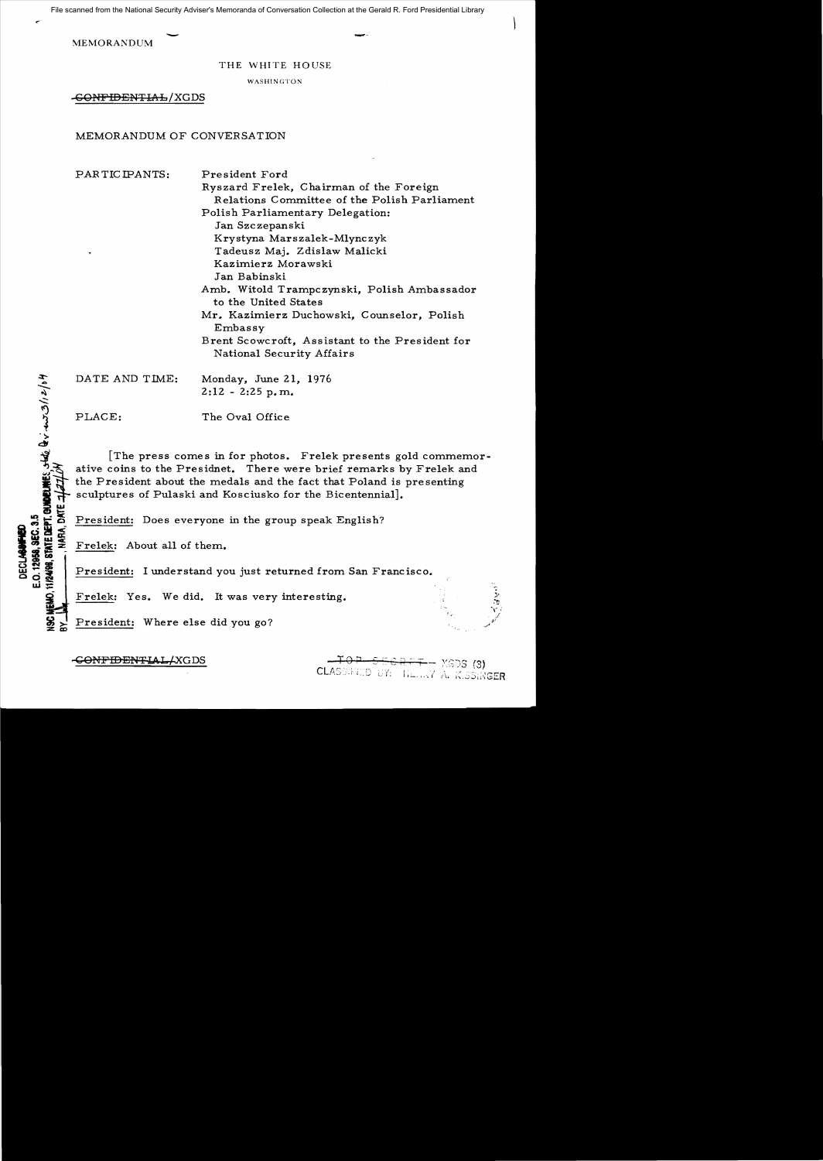File scanned from the National Security Adviser's Memoranda of Conversation Collection at the Gerald R. Ford Presidential Library

MEMORANDUM

THE WHITE HOUSE

**WASHINGTON** 

<del>-GONFIDENTIAL</del>/XGDS

## MEMORANDUM OF CONVERSATION

PAR TIC IPANTS: President Ford

Ryszard Frelek, Chairman of the Foreign Relations Committee of the Polish Parliament Polish Parliamentary Delegation: Jan Szczepanski Krystyna Marszalek-Mlynczyk Tadeusz Maj. Zdislaw Malicki Kazimierz Morawski Jan Babinski Amb. Witold Trampczynski, Polish Ambassador to the United States

Mr. Kazimierz Duchowski, Counselor, Polish Embassy

Brent Scowcroft, Assistant to the President for National Security Affairs

DATE AND TIME: Monday, June 21, 1976  $2:12 - 2:25$  p.m.

 $\dot{\leq}$ 

 $\sum_{i=1}^{n}$ cW

**"'wa::** 

 $35 - 7$ 

u: 군

**DECLAN** 

PLACE: The Oval Office

The press comes in for photos. Frelek presents gold commemorative coins to the Presidnet. There were brief remarks by Frelek and the President about the medals and the fact that Poland is presenting sculptures of Pulaski and Kosciusko for the Bicentennial].

~ ~! President: Does everyone in the group speak English?

Frelek: About all of them.

President: I understand you just returned from San Francisco.

Frelek: Yes. We did. It was very interesting.

President: Where else did you go?

 $\frac{10P-EE+1.41}{P}$  XGDS (3) 15...J.J.: 1315.EU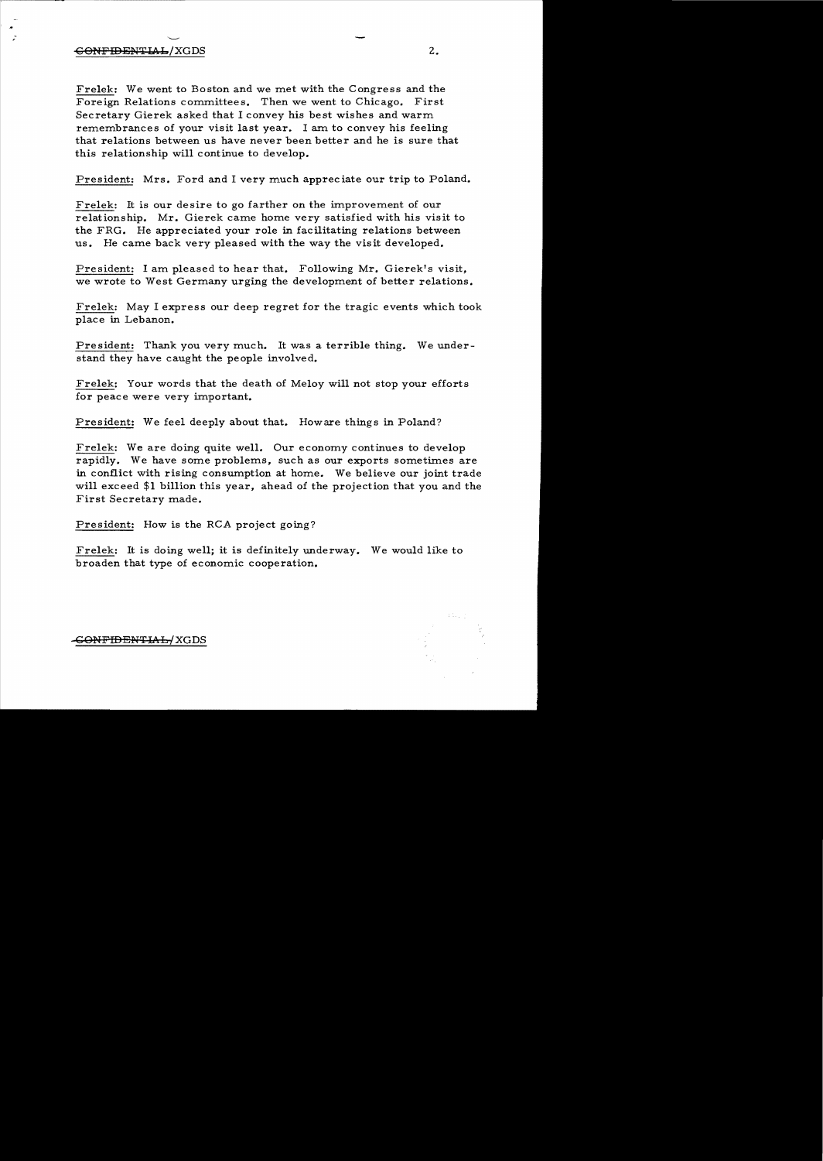## $\overline{\text{COMFIDENTHAL}}/\text{XGDS}$  2.

,

Frelek: We went to Boston and we met with the Congress and the Foreign Relations committees. Then we went to Chicago. First Secretary Gierek asked that I convey his best wishes and warm remembrances of your visit last year. I am to convey his feeling that relations between us have never been better and he is sure that this relationship will continue to develop.

President: Mrs. Ford and I very much appreciate our trip to Poland.

Frelek: It is our desire to go farther on the improvement of our relationship. Mr. Gierek came home very satisfied with his visit to the FRG. He appreciated your role in facilitating relations between us. He came back very pleased with the way the visit developed.

President: I am pleased to hear that. Following Mr. Gierek's visit, we wrote to West Germany urging the development of better relations.

Frelek: May I express our deep regret for the tragic events which took place in Lebanon.

President: Thank you very much. It was a terrible thing. We understand they have caught the people involved.

Frelek: Your words that the death of Meloy will not stop your efforts for peace were very important.

President: We feel deeply about that. Howare things in Poland?

Frelek: We are doing quite well. Our economy continues to develop rapidly. We have some problems, such as our exports sometimes are in conflict with rising consumption at home. We believe our joint trade will exceed \$1 billion this year, ahead of the projection that you and the First Secretary made.

President: How is the RCA project going?

Frelek: It is doing well; it is definitely underway. We would like to broaden that type of economic cooperation.

## CONFIDENTIAL/XGDS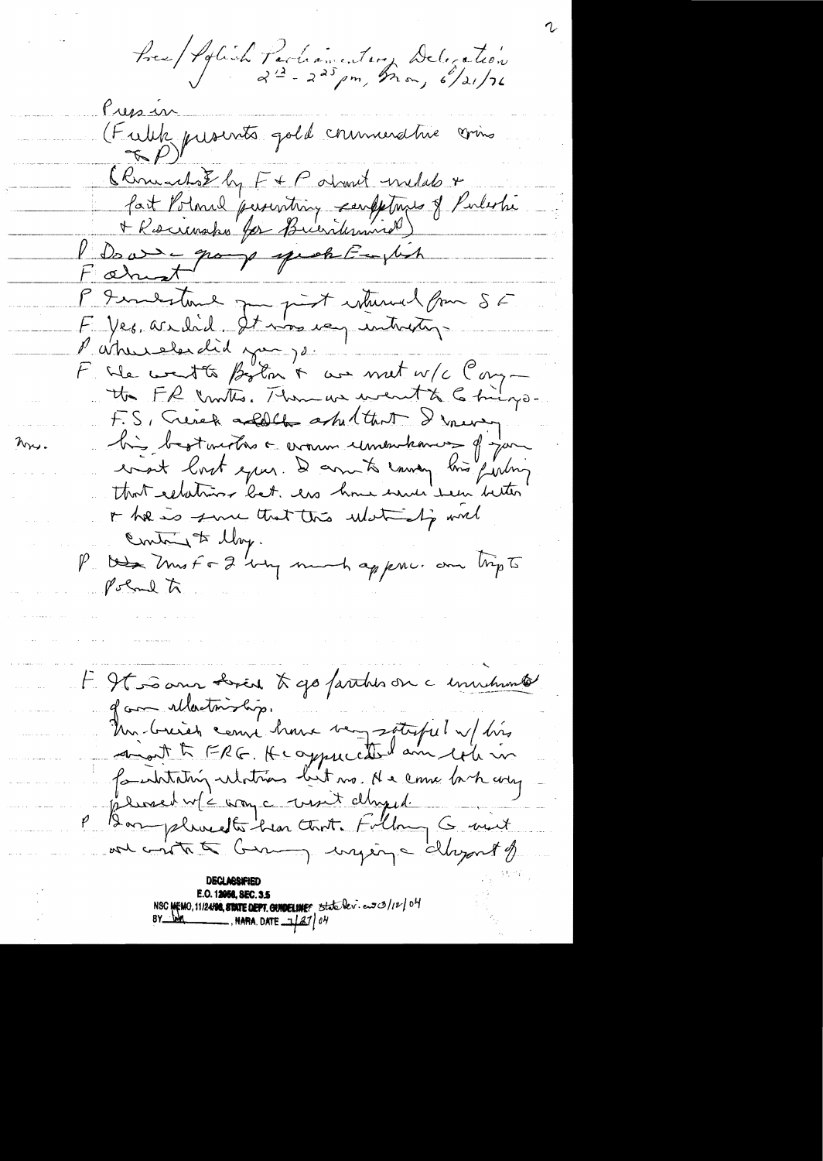tres / toplich Parliamenters, Delegation Pression (Fulik presents gold commercitie comme Clements by F & P about wilds +<br>fatt Polonil persenting confitunts of Pulartic<br>+ Rocienshes for Buendeminel Booker pour speak Empire P Immertant Johnson SE<br>F Yes, andred Johnson intriting Partie elevatid par pour F the west to Both it we met w/c Congthe FR Unites. Them we went to 6 hings. F.S. Creich addle askeltent I merry. big bestauches a croun uniontenus f ja hr. consist lorst equer. De armete couvery lors farbing I have sure that this what if will Contains to llay. P. De moto 2 by much approvement inpt. Poland to F 95 - Janne Louis & yo farthes on a unulument of com ullertniship. Un breich comi hour vous sotisful n/his familitating relations but no. He came back adapte P Borgedwedte han court chyed. NSC MEMO, 11/2**4/98, STATE DEPT. GUNDELINE**S State lev. eup 3/12/04<br>BY LOWL MARE , NARA, DATE 1/27/04 NARA, DATE  $\frac{1}{2}$   $\frac{2}{1}$   $\frac{d}{v}$